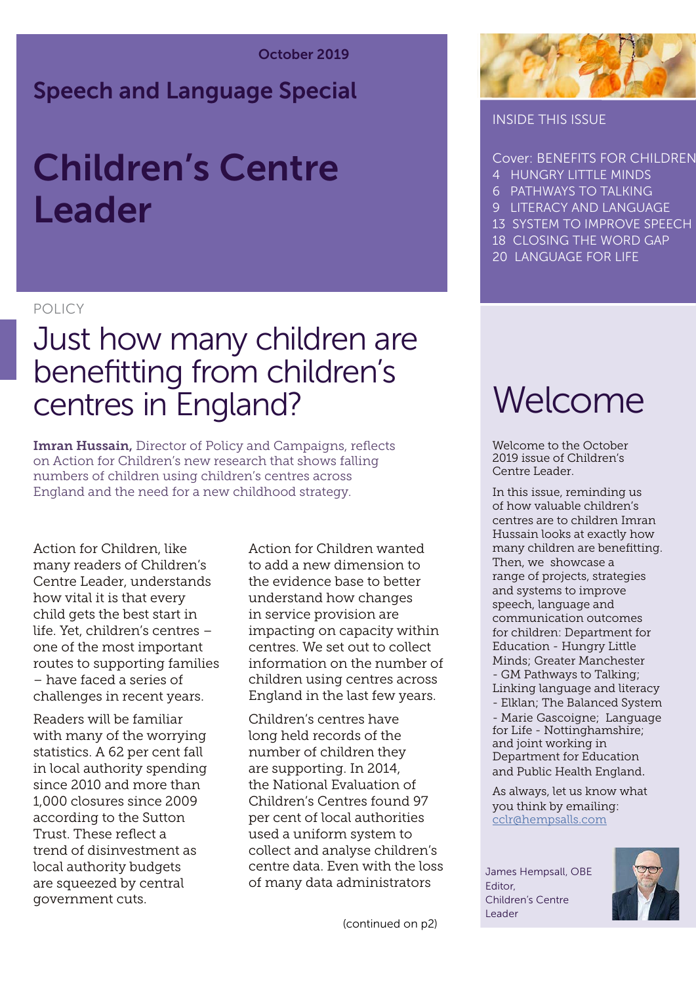## Speech and Language Special

## Children's Centre Leader

## POLICY

## Just how many children are benefitting from children's centres in England?

Imran Hussain, Director of Policy and Campaigns, reflects on Action for Children's new research that shows falling numbers of children using children's centres across England and the need for a new childhood strategy.

Action for Children, like many readers of Children's Centre Leader, understands how vital it is that every child gets the best start in life. Yet, children's centres – one of the most important routes to supporting families – have faced a series of challenges in recent years.

Readers will be familiar with many of the worrying statistics. A 62 per cent fall in local authority spending since 2010 and more than 1,000 closures since 2009 according to the Sutton Trust. These reflect a trend of disinvestment as local authority budgets are squeezed by central government cuts.

Action for Children wanted to add a new dimension to the evidence base to better understand how changes in service provision are impacting on capacity within centres. We set out to collect information on the number of children using centres across England in the last few years.

Children's centres have long held records of the number of children they are supporting. In 2014, the National Evaluation of Children's Centres found 97 per cent of local authorities used a uniform system to collect and analyse children's centre data. Even with the loss of many data administrators



#### INSIDE THIS ISSUE

Cover: BENEFITS FOR CHILDREN

- 4 HUNGRY LITTLE MINDS
- 6 PATHWAYS TO TALKING
- 9 LITERACY AND LANGUAGE
- 13 SYSTEM TO IMPROVE SPEECH
- 18 CLOSING THE WORD GAP
- 20 LANGUAGE FOR LIFE

## Welcome

Welcome to the October 2019 issue of Children's Centre Leader.

In this issue, reminding us of how valuable children's centres are to children Imran Hussain looks at exactly how many children are benefitting. Then, we showcase a range of projects, strategies and systems to improve speech, language and communication outcomes for children: Department for Education - Hungry Little Minds; Greater Manchester - GM Pathways to Talking; Linking language and literacy - Elklan; The Balanced System

- Marie Gascoigne; Language for Life - Nottinghamshire; and joint working in Department for Education and Public Health England.

As always, let us know what you think by emailing: [cclr@hempsalls.com](mailto:cclr%40hempsalls.com?subject=)

James Hempsall, OBE Editor, Children's Centre Leader

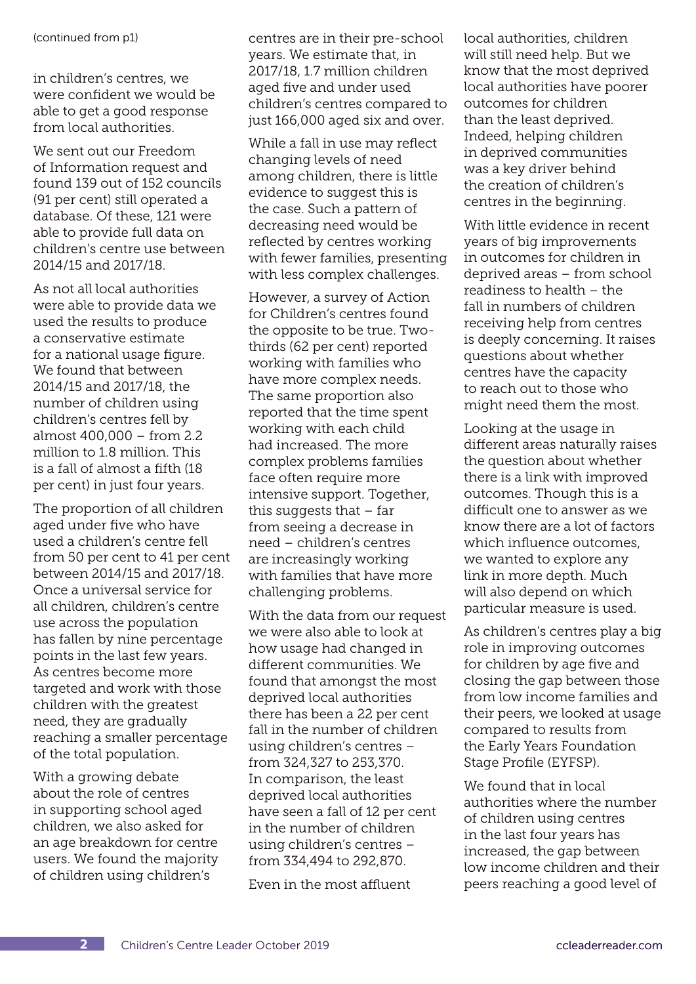(continued from p1)

in children's centres, we were confident we would be able to get a good response from local authorities.

We sent out our Freedom of Information request and found 139 out of 152 councils (91 per cent) still operated a database. Of these, 121 were able to provide full data on children's centre use between 2014/15 and 2017/18.

As not all local authorities were able to provide data we used the results to produce a conservative estimate for a national usage figure. We found that between 2014/15 and 2017/18, the number of children using children's centres fell by almost 400,000 – from 2.2 million to 1.8 million. This is a fall of almost a fifth (18 per cent) in just four years.

The proportion of all children aged under five who have used a children's centre fell from 50 per cent to 41 per cent between 2014/15 and 2017/18. Once a universal service for all children, children's centre use across the population has fallen by nine percentage points in the last few years. As centres become more targeted and work with those children with the greatest need, they are gradually reaching a smaller percentage of the total population.

With a growing debate about the role of centres in supporting school aged children, we also asked for an age breakdown for centre users. We found the majority of children using children's

centres are in their pre-school years. We estimate that, in 2017/18, 1.7 million children aged five and under used children's centres compared to just 166,000 aged six and over.

While a fall in use may reflect changing levels of need among children, there is little evidence to suggest this is the case. Such a pattern of decreasing need would be reflected by centres working with fewer families, presenting with less complex challenges.

However, a survey of Action for Children's centres found the opposite to be true. Twothirds (62 per cent) reported working with families who have more complex needs. The same proportion also reported that the time spent working with each child had increased. The more complex problems families face often require more intensive support. Together, this suggests that – far from seeing a decrease in need – children's centres are increasingly working with families that have more challenging problems.

With the data from our request we were also able to look at how usage had changed in different communities. We found that amongst the most deprived local authorities there has been a 22 per cent fall in the number of children using children's centres – from 324,327 to 253,370. In comparison, the least deprived local authorities have seen a fall of 12 per cent in the number of children using children's centres – from 334,494 to 292,870.

Even in the most affluent

local authorities, children will still need help. But we know that the most deprived local authorities have poorer outcomes for children than the least deprived. Indeed, helping children in deprived communities was a key driver behind the creation of children's centres in the beginning.

With little evidence in recent years of big improvements in outcomes for children in deprived areas – from school readiness to health – the fall in numbers of children receiving help from centres is deeply concerning. It raises questions about whether centres have the capacity to reach out to those who might need them the most.

Looking at the usage in different areas naturally raises the question about whether there is a link with improved outcomes. Though this is a difficult one to answer as we know there are a lot of factors which influence outcomes, we wanted to explore any link in more depth. Much will also depend on which particular measure is used.

As children's centres play a big role in improving outcomes for children by age five and closing the gap between those from low income families and their peers, we looked at usage compared to results from the Early Years Foundation Stage Profile (EYFSP).

We found that in local authorities where the number of children using centres in the last four years has increased, the gap between low income children and their peers reaching a good level of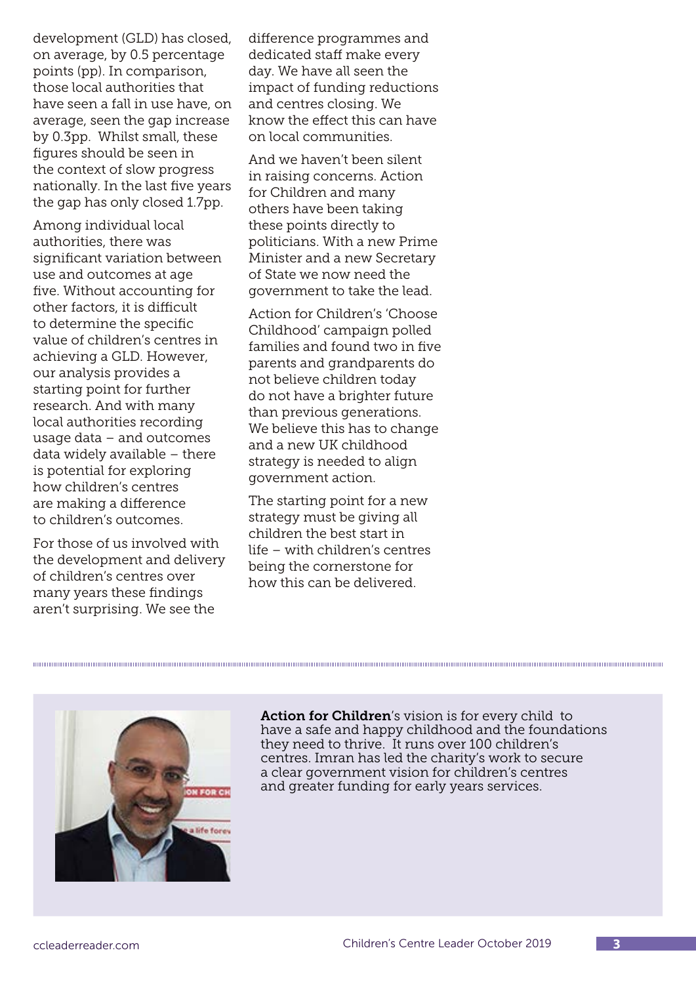development (GLD) has closed, on average, by 0.5 percentage points (pp). In comparison, those local authorities that have seen a fall in use have, on average, seen the gap increase by 0.3pp. Whilst small, these figures should be seen in the context of slow progress nationally. In the last five years the gap has only closed 1.7pp.

Among individual local authorities, there was significant variation between use and outcomes at age five. Without accounting for other factors, it is difficult to determine the specific value of children's centres in achieving a GLD. However, our analysis provides a starting point for further research. And with many local authorities recording usage data – and outcomes data widely available – there is potential for exploring how children's centres are making a difference to children's outcomes.

For those of us involved with the development and delivery of children's centres over many years these findings aren't surprising. We see the

difference programmes and dedicated staff make every day. We have all seen the impact of funding reductions and centres closing. We know the effect this can have on local communities.

And we haven't been silent in raising concerns. Action for Children and many others have been taking these points directly to politicians. With a new Prime Minister and a new Secretary of State we now need the government to take the lead.

Action for Children's 'Choose Childhood' campaign polled families and found two in five parents and grandparents do not believe children today do not have a brighter future than previous generations. We believe this has to change and a new UK childhood strategy is needed to align government action.

The starting point for a new strategy must be giving all children the best start in life – with children's centres being the cornerstone for how this can be delivered.



Action for Children's vision is for every child to have a safe and happy childhood and the foundations they need to thrive. It runs over 100 children's centres. Imran has led the charity's work to secure a clear government vision for children's centres and greater funding for early years services.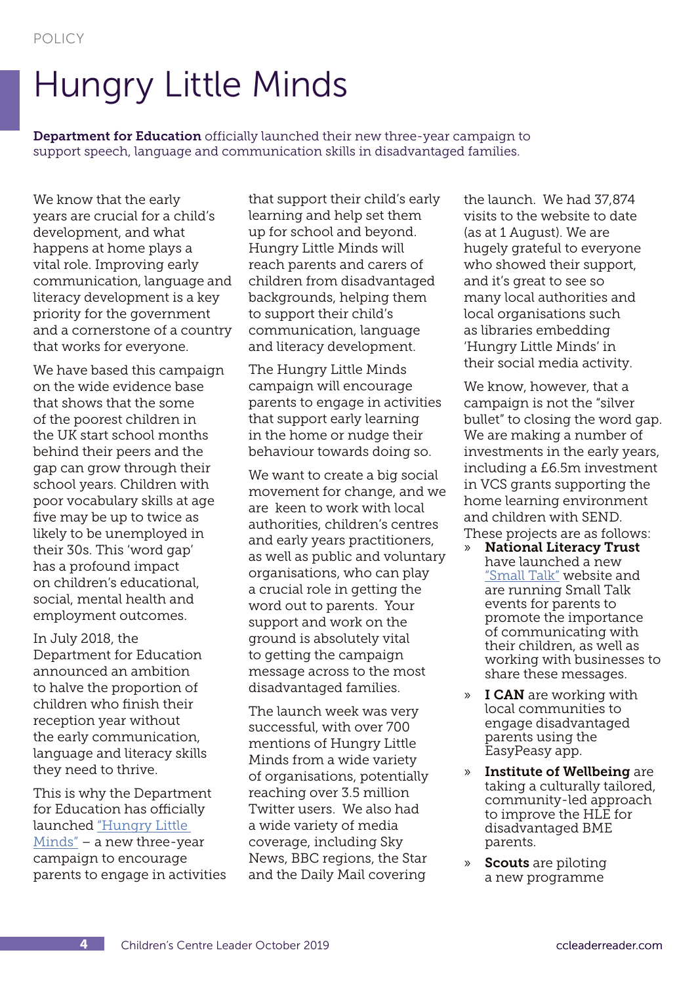## Hungry Little Minds

**Department for Education** officially launched their new three-year campaign to support speech, language and communication skills in disadvantaged families.

We know that the early years are crucial for a child's development, and what happens at home plays a vital role. Improving early communication, language and literacy development is a key priority for the government and a cornerstone of a country that works for everyone.

We have based this campaign on the wide evidence base that shows that the some of the poorest children in the UK start school months behind their peers and the gap can grow through their school years. Children with poor vocabulary skills at age five may be up to twice as likely to be unemployed in their 30s. This 'word gap' has a profound impact on children's educational, social, mental health and employment outcomes.

In July 2018, the Department for Education announced an ambition to halve the proportion of children who finish their reception year without the early communication, language and literacy skills they need to thrive.

This is why the Department for Education has officially launched ["Hungry Little](https://hungrylittleminds.campaign.gov.uk/)  [Minds"](https://hungrylittleminds.campaign.gov.uk/) – a new three-year campaign to encourage parents to engage in activities that support their child's early learning and help set them up for school and beyond. Hungry Little Minds will reach parents and carers of children from disadvantaged backgrounds, helping them to support their child's communication, language and literacy development.

The Hungry Little Minds campaign will encourage parents to engage in activities that support early learning in the home or nudge their behaviour towards doing so.

We want to create a big social movement for change, and we are keen to work with local authorities, children's centres and early years practitioners, as well as public and voluntary organisations, who can play a crucial role in getting the word out to parents. Your support and work on the ground is absolutely vital to getting the campaign message across to the most disadvantaged families.

The launch week was very successful, with over 700 mentions of Hungry Little Minds from a wide variety of organisations, potentially reaching over 3.5 million Twitter users. We also had a wide variety of media coverage, including Sky News, BBC regions, the Star and the Daily Mail covering

the launch. We had 37,874 visits to the website to date (as at 1 August). We are hugely grateful to everyone who showed their support, and it's great to see so many local authorities and local organisations such as libraries embedding 'Hungry Little Minds' in their social media activity.

We know, however, that a campaign is not the "silver bullet" to closing the word gap. We are making a number of investments in the early years, including a £6.5m investment in VCS grants supporting the home learning environment and children with SEND. These projects are as follows:

- » National Literacy Trust have launched a new ["Small Talk"](https://small-talk.org.uk/) website and are running Small Talk events for parents to promote the importance of communicating with their children, as well as working with businesses to share these messages.
- » I CAN are working with local communities to engage disadvantaged parents using the EasyPeasy app.
- » Institute of Wellbeing are taking a culturally tailored, community-led approach to improve the HLE for disadvantaged BME parents.
- » Scouts are piloting a new programme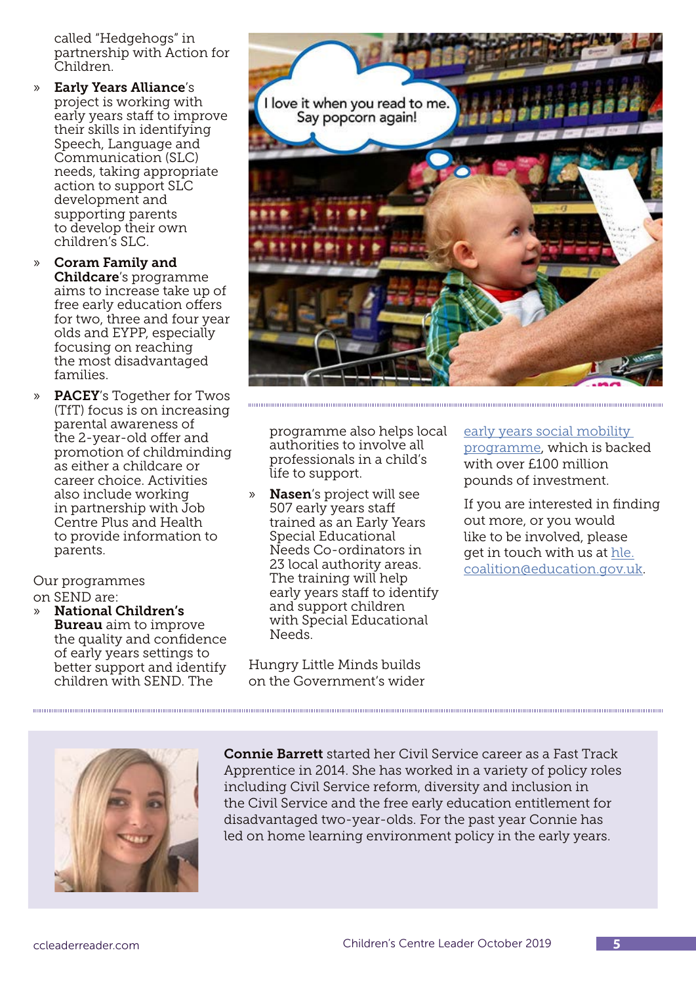called "Hedgehogs" in partnership with Action for Children.

- » Early Years Alliance's project is working with early years staff to improve their skills in identifying Speech, Language and Communication (SLC) needs, taking appropriate action to support SLC development and supporting parents to develop their own children's SLC.
- » Coram Family and Childcare's programme aims to increase take up of free early education offers for two, three and four year olds and EYPP, especially focusing on reaching the most disadvantaged families.
- » PACEY's Together for Twos (TfT) focus is on increasing parental awareness of the 2-year-old offer and promotion of childminding as either a childcare or career choice. Activities also include working in partnership with Job Centre Plus and Health to provide information to parents.

Our programmes on SEND are:

» National Children's **Bureau** aim to improve the quality and confidence of early years settings to better support and identify children with SEND. The



programme also helps local authorities to involve all professionals in a child's life to support.

» Nasen's project will see 507 early years staff trained as an Early Years Special Educational Needs Co-ordinators in 23 local authority areas. The training will help early years staff to identify and support children with Special Educational Needs.

Hungry Little Minds builds on the Government's wider [early years social mobility](https://foundationyears.org.uk/2019/06/government-action-to-boost-social-mobility-in-the-early-years/)  [programme,](https://foundationyears.org.uk/2019/06/government-action-to-boost-social-mobility-in-the-early-years/) which is backed with over £100 million pounds of investment.

If you are interested in finding out more, or you would like to be involved, please get in touch with us at [hle.](mailto:mailto:hle.coalition%40education.gov.uk?subject=) [coalition@education.gov.uk.](mailto:mailto:hle.coalition%40education.gov.uk?subject=)



Connie Barrett started her Civil Service career as a Fast Track Apprentice in 2014. She has worked in a variety of policy roles including Civil Service reform, diversity and inclusion in the Civil Service and the free early education entitlement for disadvantaged two-year-olds. For the past year Connie has led on home learning environment policy in the early years.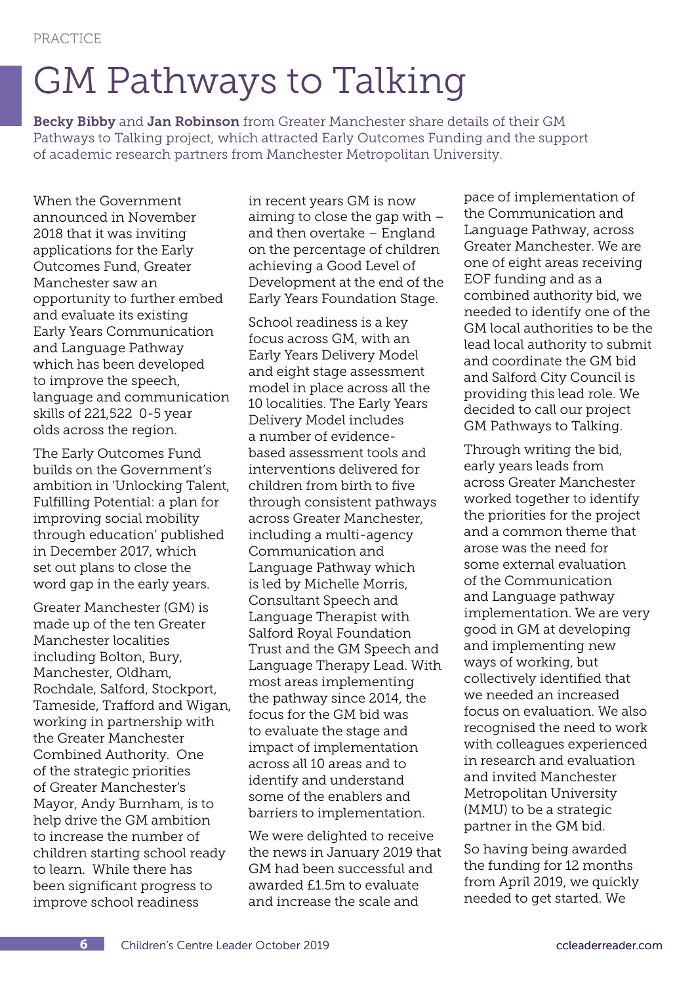# GM Pathways to Talking

Becky Bibby and Jan Robinson from Greater Manchester share details of their GM Pathways to Talking project, which attracted Early Outcomes Funding and the support of academic research partners from Manchester Metropolitan University.

When the Government announced in November 2018 that it was inviting applications for the Early Outcomes Fund, Greater Manchester saw an opportunity to further embed and evaluate its existing Early Years Communication and Language Pathway which has been developed to improve the speech, language and communication skills of 221,522 0-5 year olds across the region.

The Early Outcomes Fund builds on the Government's ambition in 'Unlocking Talent, Fulfilling Potential: a plan for improving social mobility through education' published in December 2017, which set out plans to close the word gap in the early years.

Greater Manchester (GM) is made up of the ten Greater Manchester localities including Bolton, Bury, Manchester, Oldham, Rochdale, Salford, Stockport, Tameside, Trafford and Wigan, working in partnership with the Greater Manchester Combined Authority. One of the strategic priorities of Greater Manchester's Mayor, Andy Burnham, is to help drive the GM ambition to increase the number of children starting school ready to learn. While there has been significant progress to improve school readiness

in recent years GM is now aiming to close the gap with – and then overtake – England on the percentage of children achieving a Good Level of Development at the end of the Early Years Foundation Stage.

School readiness is a key focus across GM, with an Early Years Delivery Model and eight stage assessment model in place across all the 10 localities. The Early Years Delivery Model includes a number of evidencebased assessment tools and interventions delivered for children from birth to five through consistent pathways across Greater Manchester, including a multi-agency Communication and Language Pathway which is led by Michelle Morris, Consultant Speech and Language Therapist with Salford Royal Foundation Trust and the GM Speech and Language Therapy Lead. With most areas implementing the pathway since 2014, the focus for the GM bid was to evaluate the stage and impact of implementation across all 10 areas and to identify and understand some of the enablers and barriers to implementation.

We were delighted to receive the news in January 2019 that GM had been successful and awarded £1.5m to evaluate and increase the scale and

pace of implementation of the Communication and Language Pathway, across Greater Manchester. We are one of eight areas receiving EOF funding and as a combined authority bid, we needed to identify one of the GM local authorities to be the lead local authority to submit and coordinate the GM bid and Salford City Council is providing this lead role. We decided to call our project GM Pathways to Talking.

Through writing the bid, early years leads from across Greater Manchester worked together to identify the priorities for the project and a common theme that arose was the need for some external evaluation of the Communication and Language pathway implementation. We are very good in GM at developing and implementing new ways of working, but collectively identified that we needed an increased focus on evaluation. We also recognised the need to work with colleagues experienced in research and evaluation and invited Manchester Metropolitan University (MMU) to be a strategic partner in the GM bid.

So having being awarded the funding for 12 months from April 2019, we quickly needed to get started. We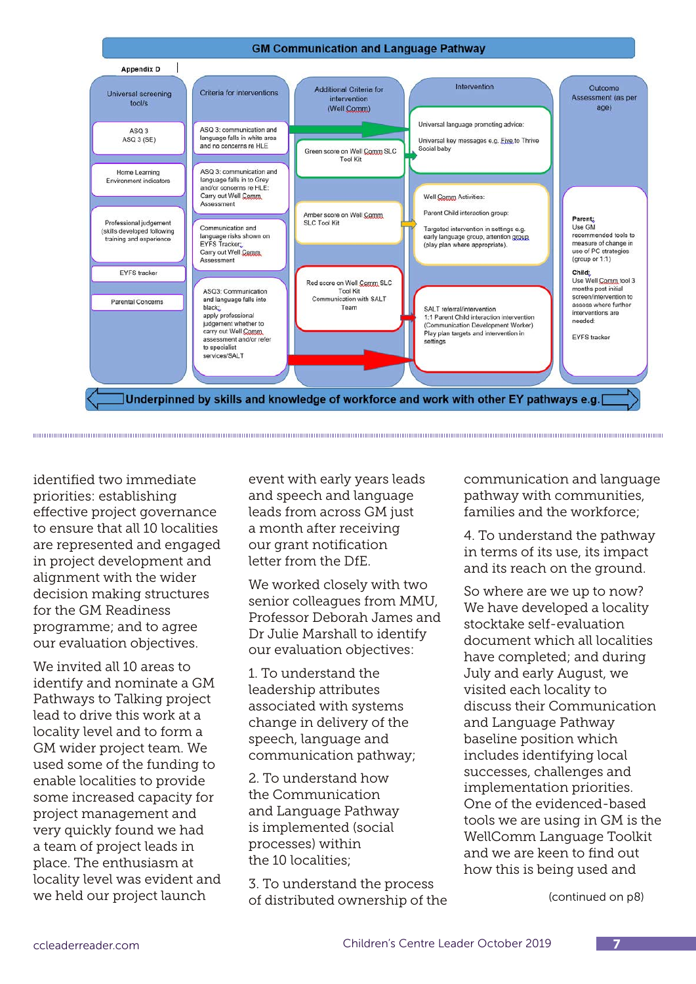

identified two immediate priorities: establishing effective project governance to ensure that all 10 localities are represented and engaged in project development and alignment with the wider decision making structures for the GM Readiness programme; and to agree our evaluation objectives.

We invited all 10 areas to identify and nominate a GM Pathways to Talking project lead to drive this work at a locality level and to form a GM wider project team. We used some of the funding to enable localities to provide some increased capacity for project management and very quickly found we had a team of project leads in place. The enthusiasm at locality level was evident and we held our project launch

event with early years leads and speech and language leads from across GM just a month after receiving our grant notification letter from the DfE.

We worked closely with two senior colleagues from MMU, Professor Deborah James and Dr Julie Marshall to identify our evaluation objectives:

1. To understand the leadership attributes associated with systems change in delivery of the speech, language and communication pathway;

2. To understand how the Communication and Language Pathway is implemented (social processes) within the 10 localities;

3. To understand the process of distributed ownership of the communication and language pathway with communities, families and the workforce;

4. To understand the pathway in terms of its use, its impact and its reach on the ground.

So where are we up to now? We have developed a locality stocktake self-evaluation document which all localities have completed; and during July and early August, we visited each locality to discuss their Communication and Language Pathway baseline position which includes identifying local successes, challenges and implementation priorities. One of the evidenced-based tools we are using in GM is the WellComm Language Toolkit and we are keen to find out how this is being used and

(continued on p8)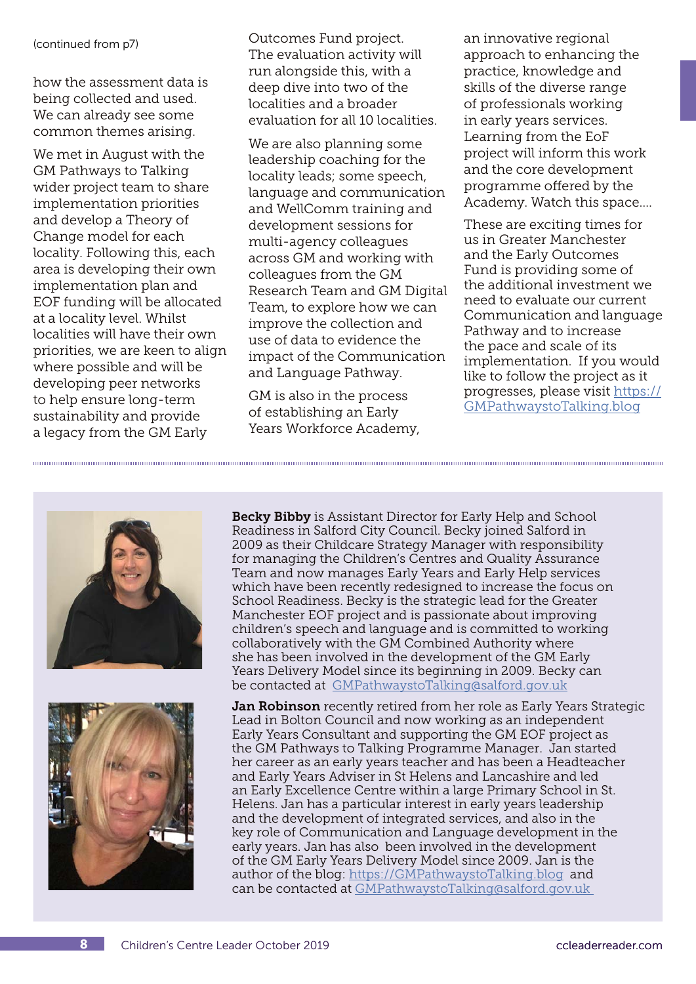(continued from p7)

how the assessment data is being collected and used. We can already see some common themes arising.

We met in August with the GM Pathways to Talking wider project team to share implementation priorities and develop a Theory of Change model for each locality. Following this, each area is developing their own implementation plan and EOF funding will be allocated at a locality level. Whilst localities will have their own priorities, we are keen to align where possible and will be developing peer networks to help ensure long-term sustainability and provide a legacy from the GM Early

Outcomes Fund project. The evaluation activity will run alongside this, with a deep dive into two of the localities and a broader evaluation for all 10 localities.

We are also planning some leadership coaching for the locality leads; some speech, language and communication and WellComm training and development sessions for multi-agency colleagues across GM and working with colleagues from the GM Research Team and GM Digital Team, to explore how we can improve the collection and use of data to evidence the impact of the Communication and Language Pathway.

GM is also in the process of establishing an Early Years Workforce Academy, an innovative regional approach to enhancing the practice, knowledge and skills of the diverse range of professionals working in early years services. Learning from the EoF project will inform this work and the core development programme offered by the Academy. Watch this space….

These are exciting times for us in Greater Manchester and the Early Outcomes Fund is providing some of the additional investment we need to evaluate our current Communication and language Pathway and to increase the pace and scale of its implementation. If you would like to follow the project as it progresses, please visit [https://](https://GMPathwaystoTalking.blog) [GMPathwaystoTalking.blog](https://GMPathwaystoTalking.blog)





Becky Bibby is Assistant Director for Early Help and School Readiness in Salford City Council. Becky joined Salford in 2009 as their Childcare Strategy Manager with responsibility for managing the Children's Centres and Quality Assurance Team and now manages Early Years and Early Help services which have been recently redesigned to increase the focus on School Readiness. Becky is the strategic lead for the Greater Manchester EOF project and is passionate about improving children's speech and language and is committed to working collaboratively with the GM Combined Authority where she has been involved in the development of the GM Early Years Delivery Model since its beginning in 2009. Becky can be contacted at [GMPathwaystoTalking@salford.gov.uk](mailto:Mailto:GMPathwaystoTalking%40salford.gov.uk?subject=)

Jan Robinson recently retired from her role as Early Years Strategic Lead in Bolton Council and now working as an independent Early Years Consultant and supporting the GM EOF project as the GM Pathways to Talking Programme Manager. Jan started her career as an early years teacher and has been a Headteacher and Early Years Adviser in St Helens and Lancashire and led an Early Excellence Centre within a large Primary School in St. Helens. Jan has a particular interest in early years leadership and the development of integrated services, and also in the key role of Communication and Language development in the early years. Jan has also been involved in the development of the GM Early Years Delivery Model since 2009. Jan is the author of the blog: <https://GMPathwaystoTalking.blog> and can be contacted at [GMPathwaystoTalking@salford.gov.uk](mailto:Mailto:GMPathwaystoTalking%40salford.gov.uk%20%20?subject=)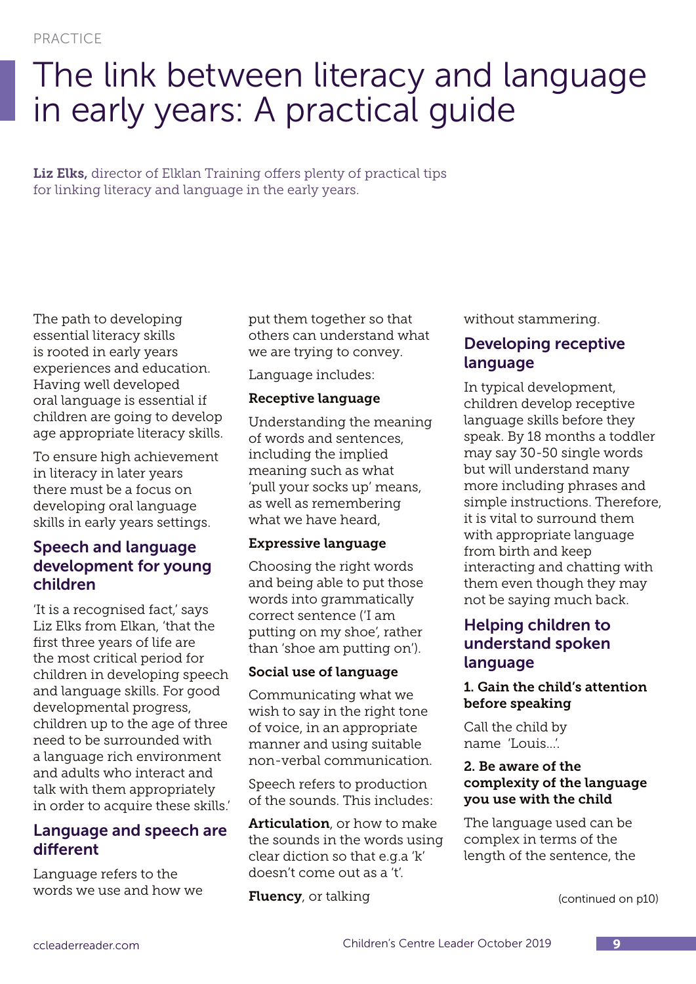## The link between literacy and language in early years: A practical guide

Liz Elks, director of Elklan Training offers plenty of practical tips for linking literacy and language in the early years.

The path to developing essential literacy skills is rooted in early years experiences and education. Having well developed oral language is essential if children are going to develop age appropriate literacy skills.

To ensure high achievement in literacy in later years there must be a focus on developing oral language skills in early years settings.

## Speech and language development for young children

'It is a recognised fact,' says Liz Elks from Elkan, 'that the first three years of life are the most critical period for children in developing speech and language skills. For good developmental progress, children up to the age of three need to be surrounded with a language rich environment and adults who interact and talk with them appropriately in order to acquire these skills.'

## Language and speech are different

Language refers to the words we use and how we put them together so that others can understand what we are trying to convey.

Language includes:

#### Receptive language

Understanding the meaning of words and sentences, including the implied meaning such as what 'pull your socks up' means, as well as remembering what we have heard,

#### Expressive language

Choosing the right words and being able to put those words into grammatically correct sentence ('I am putting on my shoe', rather than 'shoe am putting on').

### Social use of language

Communicating what we wish to say in the right tone of voice, in an appropriate manner and using suitable non-verbal communication.

Speech refers to production of the sounds. This includes:

Articulation, or how to make the sounds in the words using clear diction so that e.g.a 'k' doesn't come out as a 't'.

**Fluency**, or talking

without stammering.

## Developing receptive language

In typical development, children develop receptive language skills before they speak. By 18 months a toddler may say 30-50 single words but will understand many more including phrases and simple instructions. Therefore, it is vital to surround them with appropriate language from birth and keep interacting and chatting with them even though they may not be saying much back.

## Helping children to understand spoken language

### 1. Gain the child's attention before speaking

Call the child by name 'Louis...'.

#### 2. Be aware of the complexity of the language you use with the child

The language used can be complex in terms of the length of the sentence, the

(continued on p10)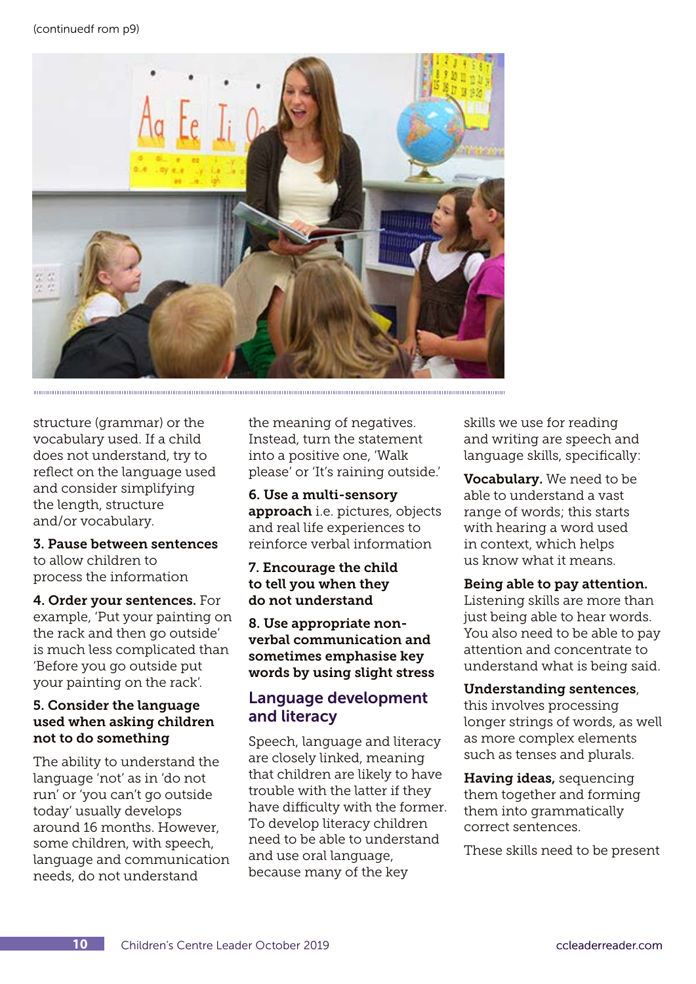

structure (grammar) or the vocabulary used. If a child does not understand, try to reflect on the language used and consider simplifying the length, structure and/or vocabulary.

### 3. Pause between sentences to allow children to

process the information

4. Order your sentences. For example, 'Put your painting on the rack and then go outside' is much less complicated than 'Before you go outside put your painting on the rack'.

#### 5. Consider the language used when asking children not to do something

The ability to understand the language 'not' as in 'do not run' or 'you can't go outside today' usually develops around 16 months. However, some children, with speech, language and communication needs, do not understand

the meaning of negatives. Instead, turn the statement into a positive one, 'Walk please' or 'It's raining outside.'

6. Use a multi-sensory approach i.e. pictures, objects and real life experiences to reinforce verbal information

#### 7. Encourage the child to tell you when they do not understand

8. Use appropriate nonverbal communication and sometimes emphasise key words by using slight stress

## Language development and literacy

Speech, language and literacy are closely linked, meaning that children are likely to have trouble with the latter if they have difficulty with the former. To develop literacy children need to be able to understand and use oral language, because many of the key

skills we use for reading and writing are speech and language skills, specifically:

Vocabulary. We need to be able to understand a vast range of words; this starts with hearing a word used in context, which helps us know what it means.

### Being able to pay attention.

Listening skills are more than just being able to hear words. You also need to be able to pay attention and concentrate to understand what is being said.

#### Understanding sentences,

this involves processing longer strings of words, as well as more complex elements such as tenses and plurals.

Having ideas, sequencing them together and forming them into grammatically correct sentences.

These skills need to be present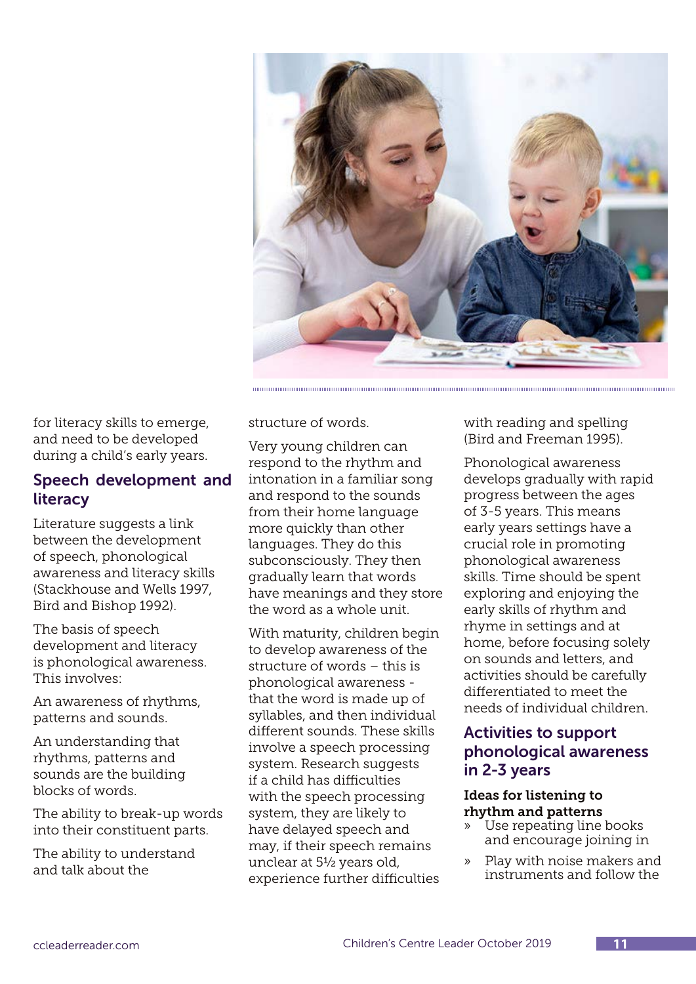

for literacy skills to emerge, and need to be developed during a child's early years.

### Speech development and literacy

Literature suggests a link between the development of speech, phonological awareness and literacy skills (Stackhouse and Wells 1997, Bird and Bishop 1992).

The basis of speech development and literacy is phonological awareness. This involves:

An awareness of rhythms, patterns and sounds.

An understanding that rhythms, patterns and sounds are the building blocks of words.

The ability to break-up words into their constituent parts.

The ability to understand and talk about the

structure of words.

Very young children can respond to the rhythm and intonation in a familiar song and respond to the sounds from their home language more quickly than other languages. They do this subconsciously. They then gradually learn that words have meanings and they store the word as a whole unit.

With maturity, children begin to develop awareness of the structure of words – this is phonological awareness that the word is made up of syllables, and then individual different sounds. These skills involve a speech processing system. Research suggests if a child has difficulties with the speech processing system, they are likely to have delayed speech and may, if their speech remains unclear at 5½ years old, experience further difficulties

with reading and spelling (Bird and Freeman 1995).

Phonological awareness develops gradually with rapid progress between the ages of 3-5 years. This means early years settings have a crucial role in promoting phonological awareness skills. Time should be spent exploring and enjoying the early skills of rhythm and rhyme in settings and at home, before focusing solely on sounds and letters, and activities should be carefully differentiated to meet the needs of individual children.

## Activities to support phonological awareness in 2-3 years

#### Ideas for listening to rhythm and patterns

- » Use repeating line books and encourage joining in
- » Play with noise makers and instruments and follow the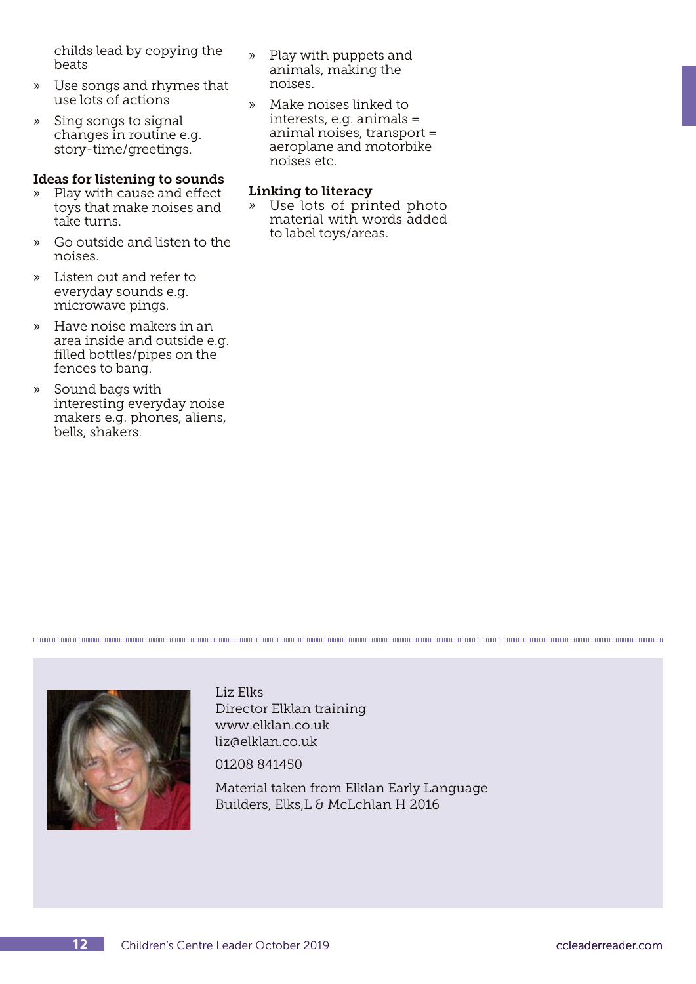childs lead by copying the beats

- » Use songs and rhymes that use lots of actions
- » Sing songs to signal changes in routine e.g. story-time/greetings.

#### Ideas for listening to sounds

- » Play with cause and effect toys that make noises and take turns.
- » Go outside and listen to the noises.
- » Listen out and refer to everyday sounds e.g. microwave pings.
- » Have noise makers in an area inside and outside e.g. filled bottles/pipes on the fences to bang.
- » Sound bags with interesting everyday noise makers e.g. phones, aliens, bells, shakers.
- » Play with puppets and animals, making the noises.
- » Make noises linked to interests, e.g. animals = animal noises, transport = aeroplane and motorbike noises etc.

#### Linking to literacy

» Use lots of printed photo material with words added to label toys/areas.



Liz Elks Director Elklan training www.elklan.co.uk liz@elklan.co.uk

01208 841450

Material taken from Elklan Early Language Builders, Elks,L & McLchlan H 2016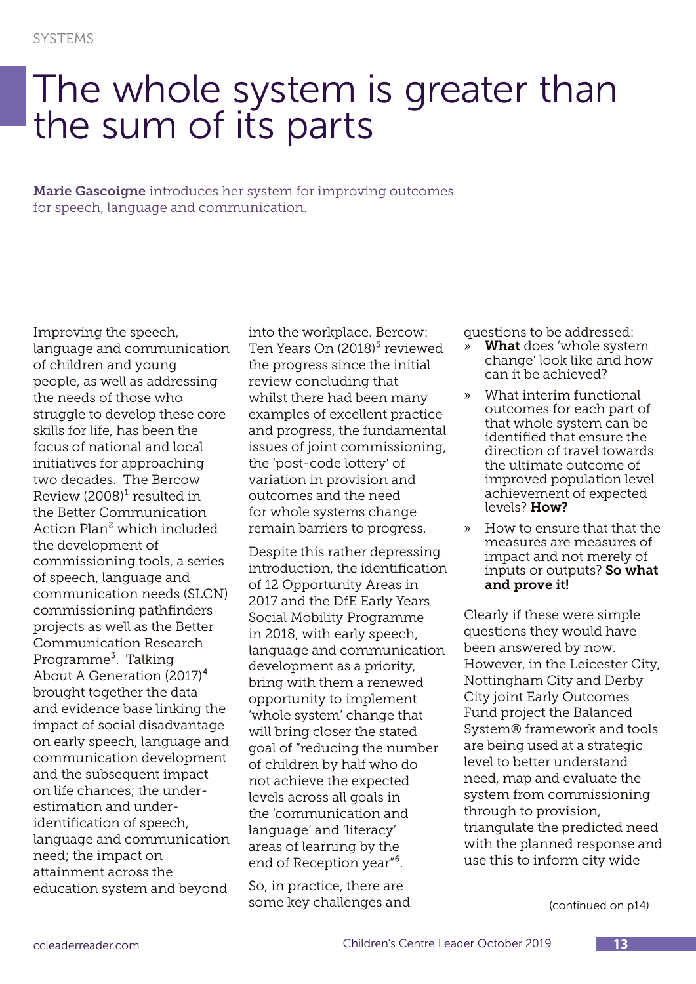## The whole system is greater than the sum of its parts

Marie Gascoigne introduces her system for improving outcomes for speech, language and communication.

Improving the speech, language and communication of children and young people, as well as addressing the needs of those who struggle to develop these core skills for life, has been the focus of national and local initiatives for approaching two decades. The Bercow Review  $(2008)^1$  resulted in the Better Communication Action Plan² which included the development of commissioning tools, a series of speech, language and communication needs (SLCN) commissioning pathfinders projects as well as the Better Communication Research Programme<sup>3</sup>. Talking About A Generation (2017)<sup>4</sup> brought together the data and evidence base linking the impact of social disadvantage on early speech, language and communication development and the subsequent impact on life chances; the underestimation and underidentification of speech, language and communication need; the impact on attainment across the education system and beyond

into the workplace. Bercow: Ten Years On (2018)<sup>5</sup> reviewed the progress since the initial review concluding that whilst there had been many examples of excellent practice and progress, the fundamental issues of joint commissioning, the 'post-code lottery' of variation in provision and outcomes and the need for whole systems change remain barriers to progress.

Despite this rather depressing introduction, the identification of 12 Opportunity Areas in 2017 and the DfE Early Years Social Mobility Programme in 2018, with early speech, language and communication development as a priority, bring with them a renewed opportunity to implement 'whole system' change that will bring closer the stated goal of "reducing the number of children by half who do not achieve the expected levels across all goals in the 'communication and language' and 'literacy' areas of learning by the end of Reception year<sup>"6</sup>.

So, in practice, there are some key challenges and questions to be addressed:

- What does 'whole system change' look like and how can it be achieved?
- » What interim functional outcomes for each part of that whole system can be identified that ensure the direction of travel towards the ultimate outcome of improved population level achievement of expected levels? How?
- » How to ensure that that the measures are measures of impact and not merely of inputs or outputs? So what and prove it!

Clearly if these were simple questions they would have been answered by now. However, in the Leicester City, Nottingham City and Derby City joint Early Outcomes Fund project the Balanced System® framework and tools are being used at a strategic level to better understand need, map and evaluate the system from commissioning through to provision, triangulate the predicted need with the planned response and use this to inform city wide

(continued on p14)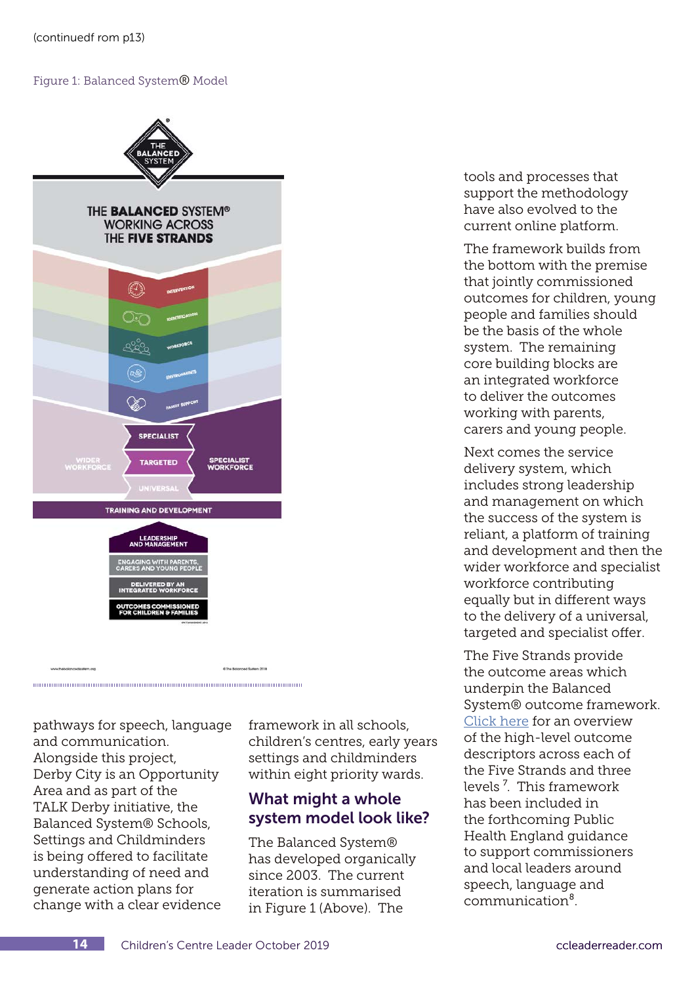#### Figure 1: Balanced System® Model



pathways for speech, language and communication. Alongside this project, Derby City is an Opportunity Area and as part of the TALK Derby initiative, the Balanced System® Schools, Settings and Childminders is being offered to facilitate understanding of need and generate action plans for change with a clear evidence

framework in all schools, children's centres, early years settings and childminders within eight priority wards.

## What might a whole system model look like?

The Balanced System® has developed organically since 2003. The current iteration is summarised in Figure 1 (Above). The

tools and processes that support the methodology have also evolved to the current online platform.

The framework builds from the bottom with the premise that jointly commissioned outcomes for children, young people and families should be the basis of the whole system. The remaining core building blocks are an integrated workforce to deliver the outcomes working with parents, carers and young people.

Next comes the service delivery system, which includes strong leadership and management on which the success of the system is reliant, a platform of training and development and then the wider workforce and specialist workforce contributing equally but in different ways to the delivery of a universal, targeted and specialist offer.

The Five Strands provide the outcome areas which underpin the Balanced System® outcome framework. [Click here](https://www.thebalancedsystem.org/BC_HighLevelOutcomes_v1.pdf) for an overview of the high-level outcome descriptors across each of the Five Strands and three levels<sup>7</sup>. This framework has been included in the forthcoming Public Health England guidance to support commissioners and local leaders around speech, language and communication⁸.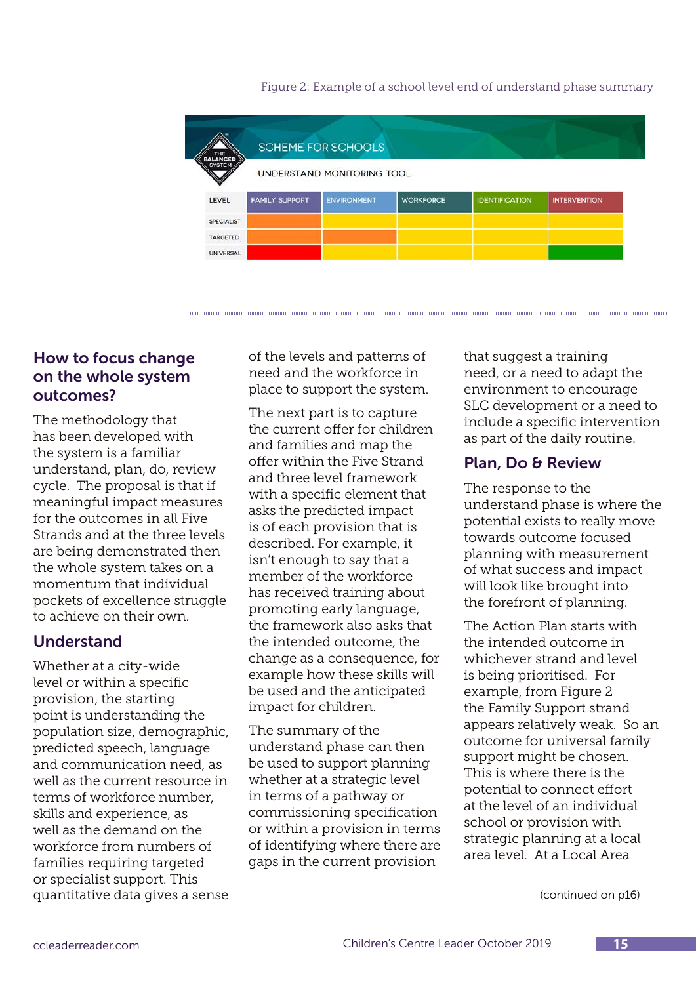

Figure 2: Example of a school level end of understand phase summary

### How to focus change on the whole system outcomes?

The methodology that has been developed with the system is a familiar understand, plan, do, review cycle. The proposal is that if meaningful impact measures for the outcomes in all Five Strands and at the three levels are being demonstrated then the whole system takes on a momentum that individual pockets of excellence struggle to achieve on their own.

## Understand

Whether at a city-wide level or within a specific provision, the starting point is understanding the population size, demographic, predicted speech, language and communication need, as well as the current resource in terms of workforce number, skills and experience, as well as the demand on the workforce from numbers of families requiring targeted or specialist support. This quantitative data gives a sense

of the levels and patterns of need and the workforce in place to support the system.

The next part is to capture the current offer for children and families and map the offer within the Five Strand and three level framework with a specific element that asks the predicted impact is of each provision that is described. For example, it isn't enough to say that a member of the workforce has received training about promoting early language, the framework also asks that the intended outcome, the change as a consequence, for example how these skills will be used and the anticipated impact for children.

The summary of the understand phase can then be used to support planning whether at a strategic level in terms of a pathway or commissioning specification or within a provision in terms of identifying where there are gaps in the current provision

that suggest a training need, or a need to adapt the environment to encourage SLC development or a need to include a specific intervention as part of the daily routine.

## Plan, Do & Review

The response to the understand phase is where the potential exists to really move towards outcome focused planning with measurement of what success and impact will look like brought into the forefront of planning.

The Action Plan starts with the intended outcome in whichever strand and level is being prioritised. For example, from Figure 2 the Family Support strand appears relatively weak. So an outcome for universal family support might be chosen. This is where there is the potential to connect effort at the level of an individual school or provision with strategic planning at a local area level. At a Local Area

(continued on p16)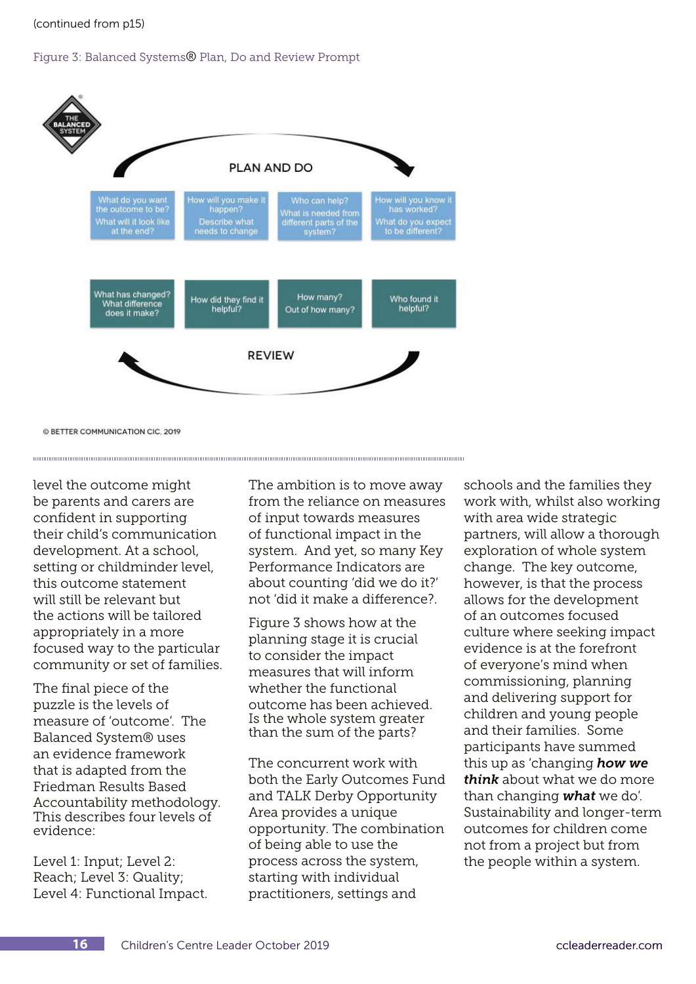(continued from p15)

#### Figure 3: Balanced Systems® Plan, Do and Review Prompt



© BETTER COMMUNICATION CIC. 2019

level the outcome might be parents and carers are confident in supporting their child's communication development. At a school, setting or childminder level, this outcome statement will still be relevant but the actions will be tailored appropriately in a more focused way to the particular community or set of families.

The final piece of the puzzle is the levels of measure of 'outcome'. The Balanced System® uses an evidence framework that is adapted from the Friedman Results Based Accountability methodology. This describes four levels of evidence:

Level 1: Input; Level 2: Reach; Level 3: Quality; Level 4: Functional Impact.

The ambition is to move away from the reliance on measures of input towards measures of functional impact in the system. And yet, so many Key Performance Indicators are about counting 'did we do it?' not 'did it make a difference?.

Figure 3 shows how at the planning stage it is crucial to consider the impact measures that will inform whether the functional outcome has been achieved. Is the whole system greater than the sum of the parts?

The concurrent work with both the Early Outcomes Fund and TALK Derby Opportunity Area provides a unique opportunity. The combination of being able to use the process across the system, starting with individual practitioners, settings and

schools and the families they work with, whilst also working with area wide strategic partners, will allow a thorough exploration of whole system change. The key outcome, however, is that the process allows for the development of an outcomes focused culture where seeking impact evidence is at the forefront of everyone's mind when commissioning, planning and delivering support for children and young people and their families. Some participants have summed this up as 'changing *how we think* about what we do more than changing *what* we do'. Sustainability and longer-term outcomes for children come not from a project but from the people within a system.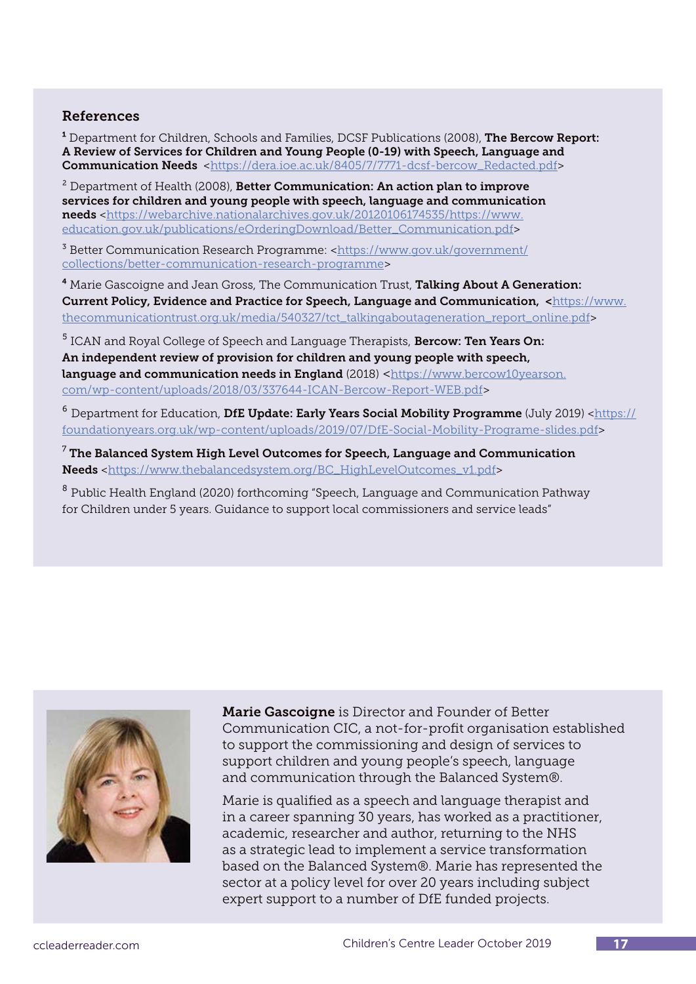#### References

<sup>1</sup> Department for Children, Schools and Families, DCSF Publications (2008), **The Bercow Report:** A Review of Services for Children and Young People (0-19) with Speech, Language and Communication Needs [<https://dera.ioe.ac.uk/8405/7/7771-dcsf-bercow\\_Redacted.pdf>](https://dera.ioe.ac.uk/8405/7/7771-dcsf-bercow_Redacted.pdf)

 $^2$  Department of Health (2008), **Better Communication: An action plan to improve** services for children and young people with speech, language and communication needs [<https://webarchive.nationalarchives.gov.uk/20120106174535/https://www.](https://webarchive.nationalarchives.gov.uk/20120106174535/https://www.education.gov.uk/publications/eOrderingDownload/Better_Communication.pdf) [education.gov.uk/publications/eOrderingDownload/Better\\_Communication.pdf](https://webarchive.nationalarchives.gov.uk/20120106174535/https://www.education.gov.uk/publications/eOrderingDownload/Better_Communication.pdf)>

<sup>3</sup> Better Communication Research Programme: <[https://www.gov.uk/government/](https://www.gov.uk/government/collections/better-communication-research-programme) [collections/better-communication-research-programme](https://www.gov.uk/government/collections/better-communication-research-programme)>

<sup>4</sup> Marie Gascoigne and Jean Gross, The Communication Trust, **Talking About A Generation:** Current Policy, Evidence and Practice for Speech, Language and Communication, <[https://www.](https://www.thecommunicationtrust.org.uk/media/540327/tct_talkingaboutageneration_report_online.pdf) [thecommunicationtrust.org.uk/media/540327/tct\\_talkingaboutageneration\\_report\\_online.pdf>](https://www.thecommunicationtrust.org.uk/media/540327/tct_talkingaboutageneration_report_online.pdf)

<sup>5</sup> ICAN and Royal College of Speech and Language Therapists, **Bercow: Ten Years On:** An independent review of provision for children and young people with speech, language and communication needs in England (2018) [<https://www.bercow10yearson.](https://www.bercow10yearson.com/wp-content/uploads/2018/03/337644-ICAN-Bercow-Report-WEB.pdf) [com/wp-content/uploads/2018/03/337644-ICAN-Bercow-Report-WEB.pdf](https://www.bercow10yearson.com/wp-content/uploads/2018/03/337644-ICAN-Bercow-Report-WEB.pdf)>

 $^6$  Department for Education, DfE Update: Early Years Social Mobility Programme (July 2019) <[https://](https://foundationyears.org.uk/wp-content/uploads/2019/07/DfE-Social-Mobility-Programe-slides.pdf) [foundationyears.org.uk/wp-content/uploads/2019/07/DfE-Social-Mobility-Programe-slides.pdf>](https://foundationyears.org.uk/wp-content/uploads/2019/07/DfE-Social-Mobility-Programe-slides.pdf)

 $^7$  The Balanced System High Level Outcomes for Speech, Language and Communication Needs [<https://www.thebalancedsystem.org/BC\\_HighLevelOutcomes\\_v1.pdf](https://www.thebalancedsystem.org/BC_HighLevelOutcomes_v1.pdf)>

<sup>8</sup> Public Health England (2020) forthcoming "Speech, Language and Communication Pathway for Children under 5 years. Guidance to support local commissioners and service leads"



Marie Gascoigne is Director and Founder of Better Communication CIC, a not-for-profit organisation established to support the commissioning and design of services to support children and young people's speech, language and communication through the Balanced System®.

Marie is qualified as a speech and language therapist and in a career spanning 30 years, has worked as a practitioner, academic, researcher and author, returning to the NHS as a strategic lead to implement a service transformation based on the Balanced System®. Marie has represented the sector at a policy level for over 20 years including subject expert support to a number of DfE funded projects.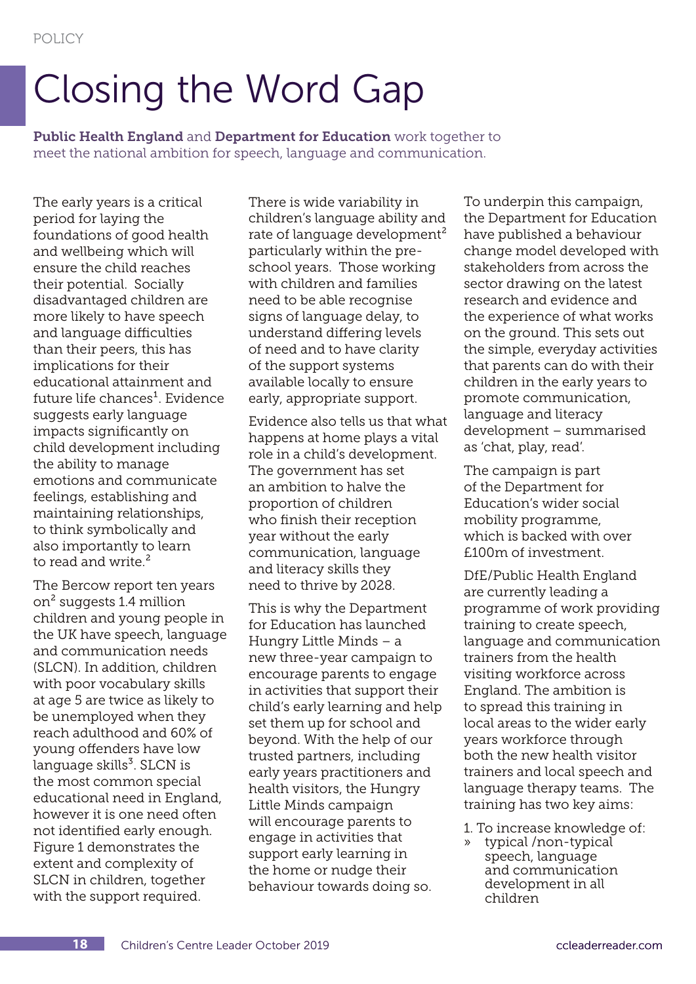# Closing the Word Gap

Public Health England and Department for Education work together to meet the national ambition for speech, language and communication.

The early years is a critical period for laying the foundations of good health and wellbeing which will ensure the child reaches their potential. Socially disadvantaged children are more likely to have speech and language difficulties than their peers, this has implications for their educational attainment and future life chances<sup>1</sup>. Evidence suggests early language impacts significantly on child development including the ability to manage emotions and communicate feelings, establishing and maintaining relationships, to think symbolically and also importantly to learn to read and write.<sup>2</sup>

The Bercow report ten years on² suggests 1.4 million children and young people in the UK have speech, language and communication needs (SLCN). In addition, children with poor vocabulary skills at age 5 are twice as likely to be unemployed when they reach adulthood and 60% of young offenders have low  $language$  skills $3$ . SLCN is the most common special educational need in England, however it is one need often not identified early enough. Figure 1 demonstrates the extent and complexity of SLCN in children, together with the support required.

There is wide variability in children's language ability and rate of language development<sup>2</sup> particularly within the preschool years. Those working with children and families need to be able recognise signs of language delay, to understand differing levels of need and to have clarity of the support systems available locally to ensure early, appropriate support.

Evidence also tells us that what happens at home plays a vital role in a child's development. The government has set an ambition to halve the proportion of children who finish their reception year without the early communication, language and literacy skills they need to thrive by 2028.

This is why the Department for Education has launched Hungry Little Minds – a new three-year campaign to encourage parents to engage in activities that support their child's early learning and help set them up for school and beyond. With the help of our trusted partners, including early years practitioners and health visitors, the Hungry Little Minds campaign will encourage parents to engage in activities that support early learning in the home or nudge their behaviour towards doing so.

To underpin this campaign, the Department for Education have published a behaviour change model developed with stakeholders from across the sector drawing on the latest research and evidence and the experience of what works on the ground. This sets out the simple, everyday activities that parents can do with their children in the early years to promote communication, language and literacy development – summarised as 'chat, play, read'.

The campaign is part of the Department for Education's wider social mobility programme, which is backed with over £100m of investment.

DfE/Public Health England are currently leading a programme of work providing training to create speech, language and communication trainers from the health visiting workforce across England. The ambition is to spread this training in local areas to the wider early years workforce through both the new health visitor trainers and local speech and language therapy teams. The training has two key aims:

- 1. To increase knowledge of:
- » typical /non-typical speech, language and communication development in all children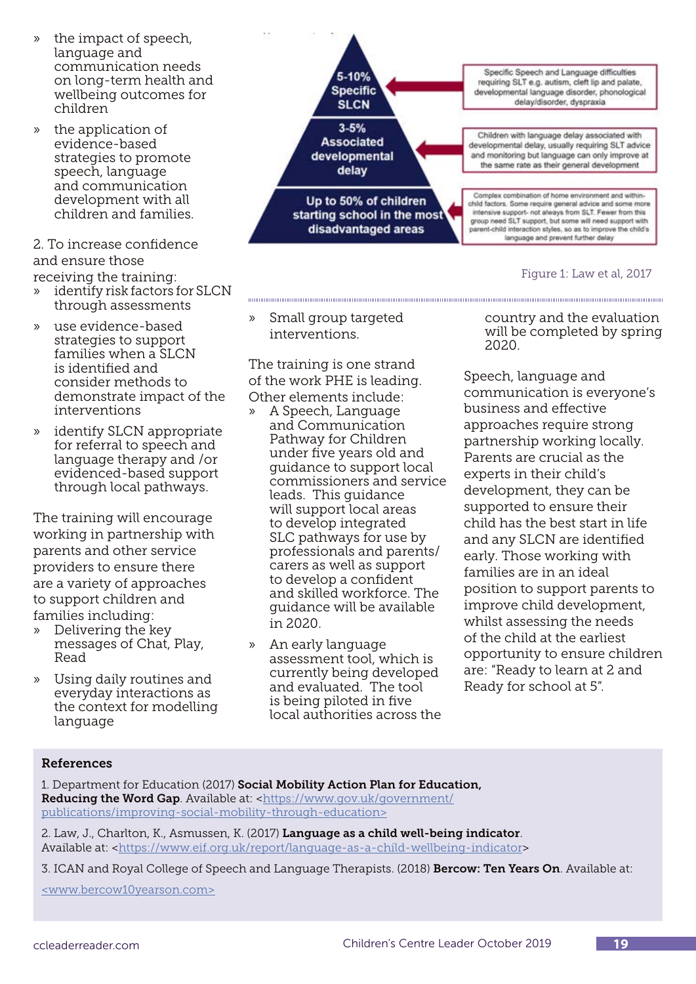- » the impact of speech, language and communication needs on long-term health and wellbeing outcomes for children
- » the application of evidence-based strategies to promote speech, language and communication development with all children and families.

#### 2. To increase confidence and ensure those receiving the training:

- » identify risk factors for SLCN through assessments
- » use evidence-based strategies to support families when a SLCN is identified and consider methods to demonstrate impact of the interventions
- » identify SLCN appropriate for referral to speech and language therapy and /or evidenced-based support through local pathways.

The training will encourage working in partnership with parents and other service providers to ensure there are a variety of approaches to support children and families including:

- » Delivering the key messages of Chat, Play, Read
- » Using daily routines and everyday interactions as the context for modelling language



Figure 1: Law et al, 2017

» Small group targeted interventions.

The training is one strand of the work PHE is leading. Other elements include:

- » A Speech, Language and Communication Pathway for Children under five years old and guidance to support local commissioners and service leads. This guidance will support local areas to develop integrated SLC pathways for use by professionals and parents/ carers as well as support to develop a confident and skilled workforce. The guidance will be available in 2020.
- » An early language assessment tool, which is currently being developed and evaluated. The tool is being piloted in five local authorities across the

country and the evaluation will be completed by spring 2020.

Speech, language and communication is everyone's business and effective approaches require strong partnership working locally. Parents are crucial as the experts in their child's development, they can be supported to ensure their child has the best start in life and any SLCN are identified early. Those working with families are in an ideal position to support parents to improve child development, whilst assessing the needs of the child at the earliest opportunity to ensure children are: "Ready to learn at 2 and Ready for school at 5".

#### References

1. Department for Education (2017) Social Mobility Action Plan for Education, Reducing the Word Gap. Available at: [<https://www.gov.uk/government/](https://www.gov.uk/government/publications/improving-social-mobility-through-education ) [publications/improving-social-mobility-through-education>](https://www.gov.uk/government/publications/improving-social-mobility-through-education )

2. Law, J., Charlton, K., Asmussen, K. (2017) Language as a child well-being indicator. Available at: <[https://www.eif.org.uk/report/language-as-a-child-wellbeing-indicator>](https://www.eif.org.uk/report/language-as-a-child-wellbeing-indicator)

3. ICAN and Royal College of Speech and Language Therapists. (2018) Bercow: Ten Years On. Available at:

[<www.bercow10yearson.com>](http://www.bercow10yearson.com)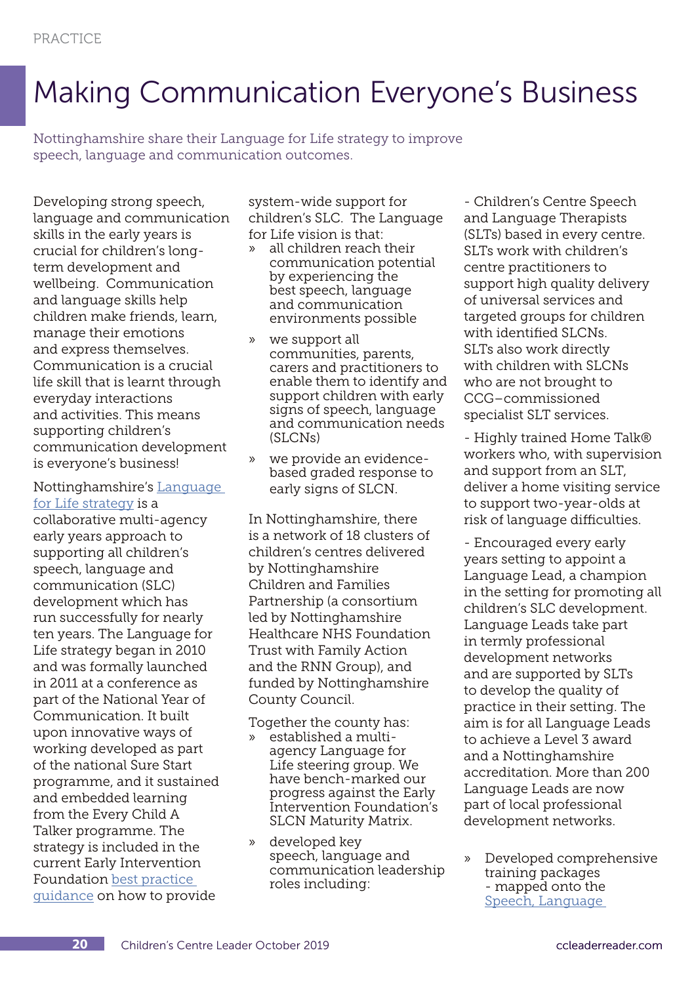## Making Communication Everyone's Business

Nottinghamshire share their Language for Life strategy to improve speech, language and communication outcomes.

Developing strong speech, language and communication skills in the early years is crucial for children's longterm development and wellbeing. Communication and language skills help children make friends, learn, manage their emotions and express themselves. Communication is a crucial life skill that is learnt through everyday interactions and activities. This means supporting children's communication development is everyone's business!

Nottinghamshire's [Language](https://www.nottinghamshirehealthcare.nhs.uk/language-for-life)  [for Life strategy](https://www.nottinghamshirehealthcare.nhs.uk/language-for-life) is a

collaborative multi-agency early years approach to supporting all children's speech, language and communication (SLC) development which has run successfully for nearly ten years. The Language for Life strategy began in 2010 and was formally launched in 2011 at a conference as part of the National Year of Communication. It built upon innovative ways of working developed as part of the national Sure Start programme, and it sustained and embedded learning from the Every Child A Talker programme. The strategy is included in the current Early Intervention Foundation [best practice](https://www.eif.org.uk/resource/eif-maturity-matrix-speech-language-communication-early-years)  [guidance](https://www.eif.org.uk/resource/eif-maturity-matrix-speech-language-communication-early-years) on how to provide

system-wide support for children's SLC. The Language for Life vision is that:

- » all children reach their communication potential by experiencing the best speech, language and communication environments possible
- » we support all communities, parents, carers and practitioners to enable them to identify and support children with early signs of speech, language and communication needs (SLCNs)
- » we provide an evidencebased graded response to early signs of SLCN.

In Nottinghamshire, there is a network of 18 clusters of children's centres delivered by Nottinghamshire Children and Families Partnership (a consortium led by Nottinghamshire Healthcare NHS Foundation Trust with Family Action and the RNN Group), and funded by Nottinghamshire County Council.

Together the county has: » established a multi-

- agency Language for Life steering group. We have bench-marked our progress against the Early Intervention Foundation's SLCN Maturity Matrix.
- » developed key speech, language and communication leadership roles including:

- Children's Centre Speech and Language Therapists (SLTs) based in every centre. SLTs work with children's centre practitioners to support high quality delivery of universal services and targeted groups for children with identified SLCNs. SLTs also work directly with children with SLCNs who are not brought to CCG–commissioned specialist SLT services.

- Highly trained Home Talk® workers who, with supervision and support from an SLT, deliver a home visiting service to support two-year-olds at risk of language difficulties.

- Encouraged every early years setting to appoint a Language Lead, a champion in the setting for promoting all children's SLC development. Language Leads take part in termly professional development networks and are supported by SLTs to develop the quality of practice in their setting. The aim is for all Language Leads to achieve a Level 3 award and a Nottinghamshire accreditation. More than 200 Language Leads are now part of local professional development networks.

» Developed comprehensive training packages - mapped onto the [Speech, Language](https://www.slcframework.org.uk)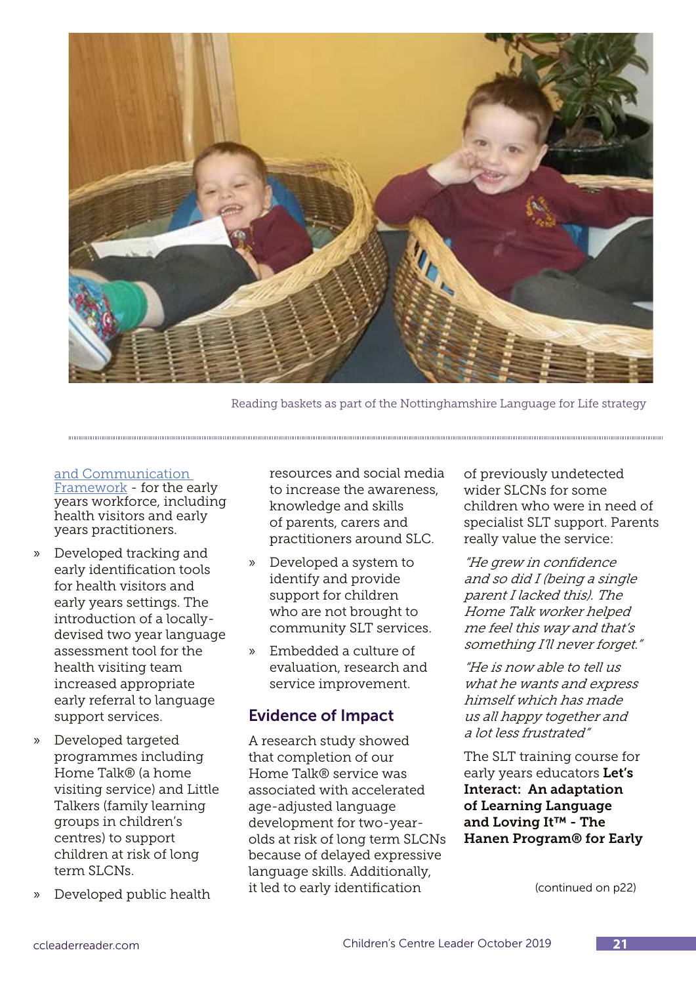

Reading baskets as part of the Nottinghamshire Language for Life strategy

#### [and Communication](https://www.slcframework.org.uk)

1000000000000000000000

[Framework](https://www.slcframework.org.uk) - for the early years workforce, including health visitors and early years practitioners.

- » Developed tracking and early identification tools for health visitors and early years settings. The introduction of a locallydevised two year language assessment tool for the health visiting team increased appropriate early referral to language support services.
- » Developed targeted programmes including Home Talk® (a home visiting service) and Little Talkers (family learning groups in children's centres) to support children at risk of long term SLCNs.
- » Developed public health

resources and social media to increase the awareness, knowledge and skills of parents, carers and practitioners around SLC.

- » Developed a system to identify and provide support for children who are not brought to community SLT services.
- » Embedded a culture of evaluation, research and service improvement.

### Evidence of Impact

A research study showed that completion of our Home Talk® service was associated with accelerated age-adjusted language development for two-yearolds at risk of long term SLCNs because of delayed expressive language skills. Additionally, it led to early identification

of previously undetected wider SLCNs for some children who were in need of specialist SLT support. Parents really value the service:

"He grew in confidence and so did I (being a single parent I lacked this). The Home Talk worker helped me feel this way and that's something I'll never forget."

"He is now able to tell us what he wants and express himself which has made us all happy together and a lot less frustrated"

The SLT training course for early years educators Let's Interact: An adaptation of Learning Language and Loving It™ - The Hanen Program® for Early

(continued on p22)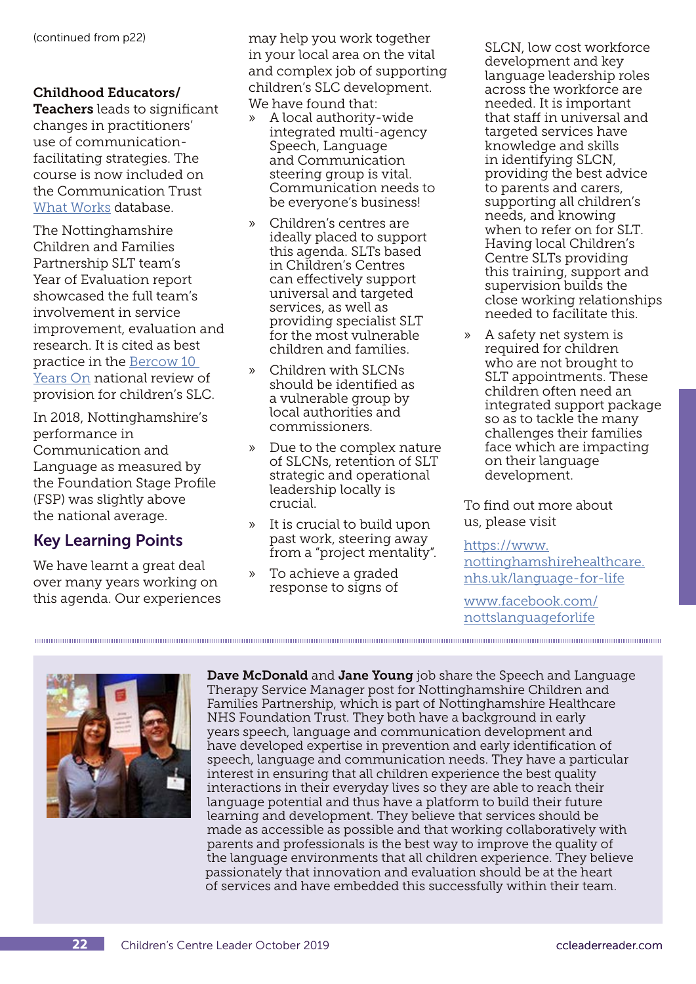#### Childhood Educators/

Teachers leads to significant changes in practitioners' use of communicationfacilitating strategies. The course is now included on the Communication Trust [What Works](https://www.thecommunicationtrust.org.uk/projects/what-works-training/) database.

The Nottinghamshire Children and Families Partnership SLT team's Year of Evaluation report showcased the full team's involvement in service improvement, evaluation and research. It is cited as best practice in the [Bercow 10](https://www.bercow10yearson.com)  [Years On](https://www.bercow10yearson.com) national review of provision for children's SLC.

In 2018, Nottinghamshire's performance in Communication and Language as measured by the Foundation Stage Profile (FSP) was slightly above the national average.

## Key Learning Points

We have learnt a great deal over many years working on this agenda. Our experiences

may help you work together in your local area on the vital and complex job of supporting children's SLC development. We have found that:

- » A local authority-wide integrated multi-agency Speech, Language and Communication steering group is vital. Communication needs to be everyone's business!
- » Children's centres are ideally placed to support this agenda. SLTs based in Children's Centres can effectively support universal and targeted services, as well as providing specialist SLT for the most vulnerable children and families.
- » Children with SLCNs should be identified as a vulnerable group by local authorities and commissioners.
- » Due to the complex nature of SLCNs, retention of SLT strategic and operational leadership locally is crucial.
- It is crucial to build upon past work, steering away from a "project mentality".
- » To achieve a graded response to signs of

SLCN, low cost workforce development and key language leadership roles across the workforce are needed. It is important that staff in universal and targeted services have knowledge and skills in identifying SLCN, providing the best advice to parents and carers, supporting all children's needs, and knowing when to refer on for SLT. Having local Children's Centre SLTs providing this training, support and supervision builds the close working relationships needed to facilitate this.

» A safety net system is required for children who are not brought to SLT appointments. These children often need an integrated support package so as to tackle the many challenges their families face which are impacting on their language development.

To find out more about us, please visit

#### [https://www.](https://www.nottinghamshirehealthcare.nhs.uk/language-for-life )

[nottinghamshirehealthcare.](https://www.nottinghamshirehealthcare.nhs.uk/language-for-life ) [nhs.uk/language-for-life](https://www.nottinghamshirehealthcare.nhs.uk/language-for-life )

[www.facebook.com/](http://www.facebook.com/nottslanguageforlife ) [nottslanguageforlife](http://www.facebook.com/nottslanguageforlife )



Dave McDonald and Jane Young job share the Speech and Language Therapy Service Manager post for Nottinghamshire Children and Families Partnership, which is part of Nottinghamshire Healthcare NHS Foundation Trust. They both have a background in early years speech, language and communication development and have developed expertise in prevention and early identification of speech, language and communication needs. They have a particular interest in ensuring that all children experience the best quality interactions in their everyday lives so they are able to reach their language potential and thus have a platform to build their future learning and development. They believe that services should be made as accessible as possible and that working collaboratively with parents and professionals is the best way to improve the quality of the language environments that all children experience. They believe passionately that innovation and evaluation should be at the heart of services and have embedded this successfully within their team.